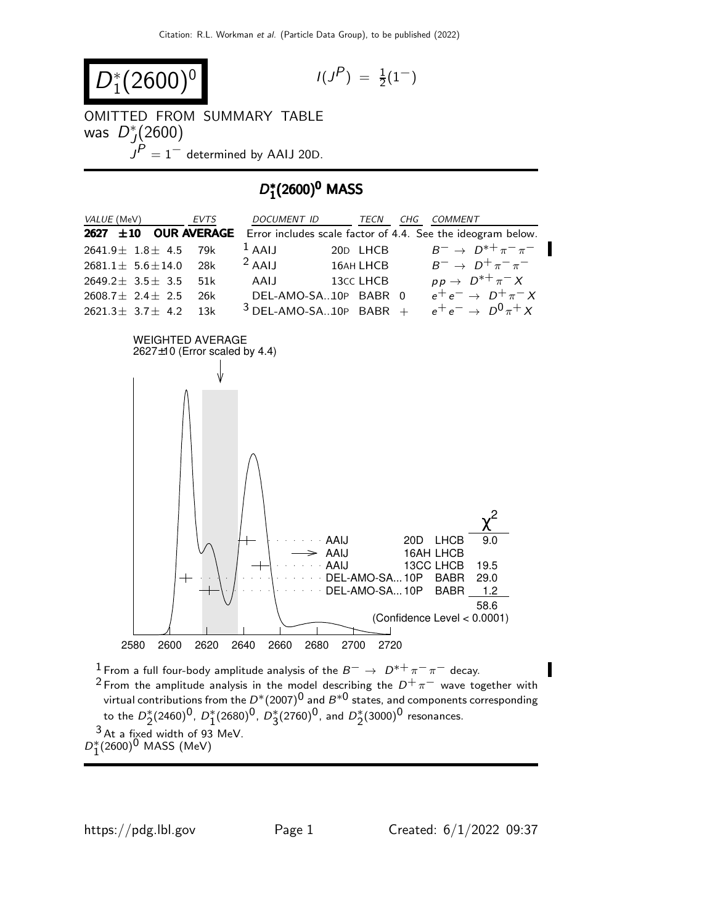$$
D_1^*(2600)^0 \qquad \qquad \text{(1)}
$$

$$
I(J^P) \ = \ \tfrac{1}{2}(1^-)
$$

OMITTED FROM SUMMARY TABLE  $\overline{D}_I^*$  $j(2600)$ 

 $\overrightarrow{J} \overset{\sim}{P} = 1 -$  determined by AAIJ 20D.

# D ∗  $D_1^*(2600)^0$  MASS

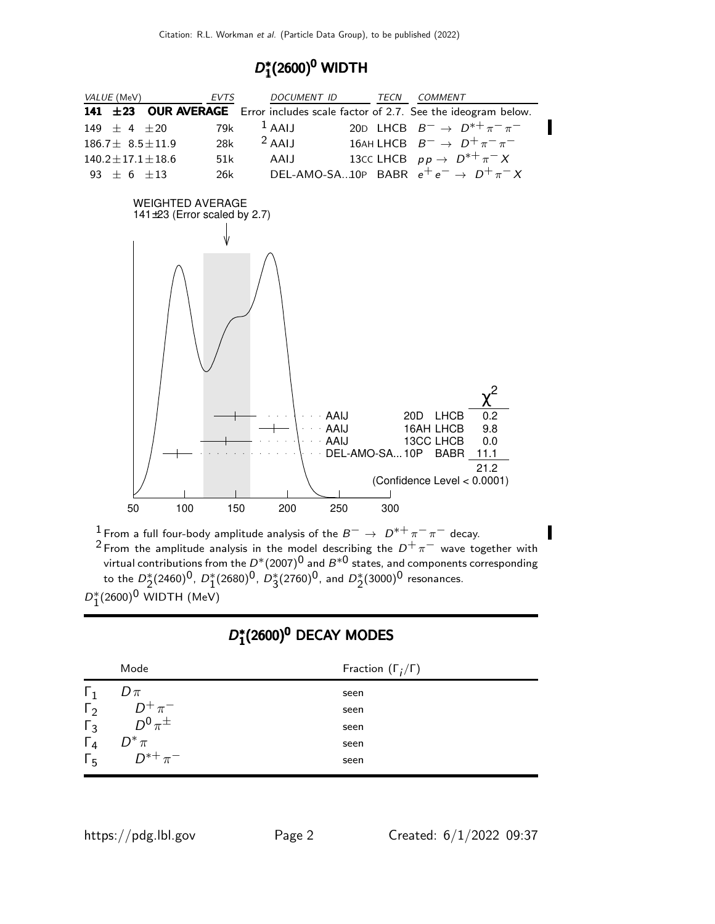# D ∗  $D_1^*(2600)^0$  WIDTH

| VALUE (MeV)                                                   | <b>EVTS</b> | <b>DOCUMENT ID</b>   | TECN          | <b>COMMENT</b>                                                                                       |
|---------------------------------------------------------------|-------------|----------------------|---------------|------------------------------------------------------------------------------------------------------|
| 141<br>±23                                                    |             |                      |               | <b>OUR AVERAGE</b> Error includes scale factor of 2.7. See the ideogram below.                       |
| $\pm 20$<br>149<br>$+4$                                       | 79k         | $1$ AAIJ             |               | 20D LHCB $B^- \rightarrow D^{*+} \pi^- \pi^-$                                                        |
| $186.7 \pm 8.5 \pm 11.9$                                      | 28k         | $2$ AAIJ             | 16AH LHCB     | $B^ \rightarrow$ $D^+\pi^-\pi^-$                                                                     |
| $140.2 \pm 17.1 \pm 18.6$                                     | 51k         | AAIJ                 |               | 13cc LHCB $pp \rightarrow D^{*+} \pi^- X$                                                            |
| 93 $\pm$ 6 $\pm$ 13                                           | 26k         |                      |               | DEL-AMO-SA10P BABR $e^+e^- \rightarrow D^+\pi^-X$                                                    |
| <b>WEIGHTED AVERAGE</b><br>141 $\pm$ 23 (Error scaled by 2.7) |             | AAIJ<br>AAIJ<br>AAIJ | DEL-AMO-SA10P | 0.2<br><b>LHCB</b><br>20 <sub>D</sub><br>9.8<br>16AH LHCB<br>13CC LHCB<br>0.0<br><b>BABR</b><br>11.1 |
|                                                               |             |                      |               | 21.2<br>(Confidence Level < 0.0001)                                                                  |
| 50<br>100                                                     | 150         | 200<br>250           | 300           |                                                                                                      |

| <sup>1</sup> From a full four-body amplitude analysis of the $B^- \rightarrow D^{*+} \pi^- \pi^-$ decay. |
|----------------------------------------------------------------------------------------------------------|
| <sup>2</sup> From the amplitude analysis in the model describing the $D^+\pi^-$ wave together with       |
| virtual contributions from the $D^*(2007)^0$ and $B^{*0}$ states, and components corresponding           |
| to the $D_2^*(2460)^0$ , $D_1^*(2680)^0$ , $D_2^*(2760)^0$ , and $D_2^*(3000)^0$ resonances.             |
| $D_1^*(2600)^0$ WIDTH (MeV)                                                                              |
|                                                                                                          |

# D ∗  $D_1^*(2600)^0$  DECAY MODES

|                       | Mode                        | Fraction $(\Gamma_i/\Gamma)$ |
|-----------------------|-----------------------------|------------------------------|
| $\mathbf{1}$          | $D\pi$                      | seen                         |
| $\Gamma_2$            | $D^+\pi^- \over D^0\pi^\pm$ | seen                         |
| $\overline{\Gamma}_3$ |                             | seen                         |
| $\Gamma_4$            | $D^*\pi$                    | seen                         |
| $\Gamma_{5}$          | $D^{*+}\pi^-$               | seen                         |